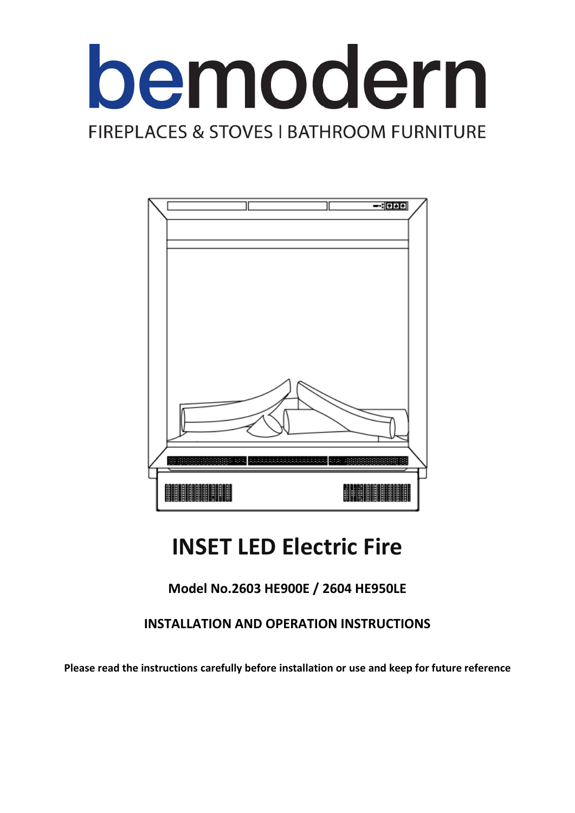



# **INSET LED Electric Fire**

# **Model No.2603 HE900E / 2604 HE950LE**

# **INSTALLATION AND OPERATION INSTRUCTIONS**

**Please read the instructions carefully before installation or use and keep for future reference**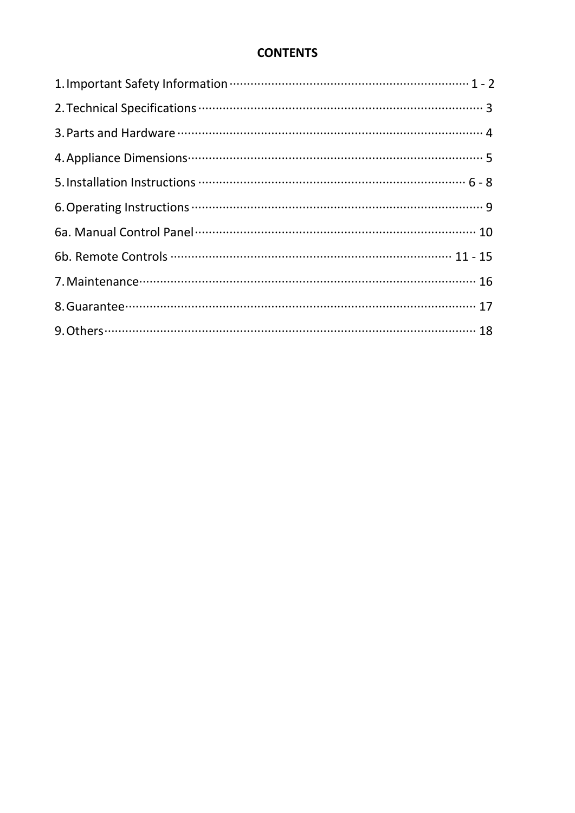# **CONTENTS**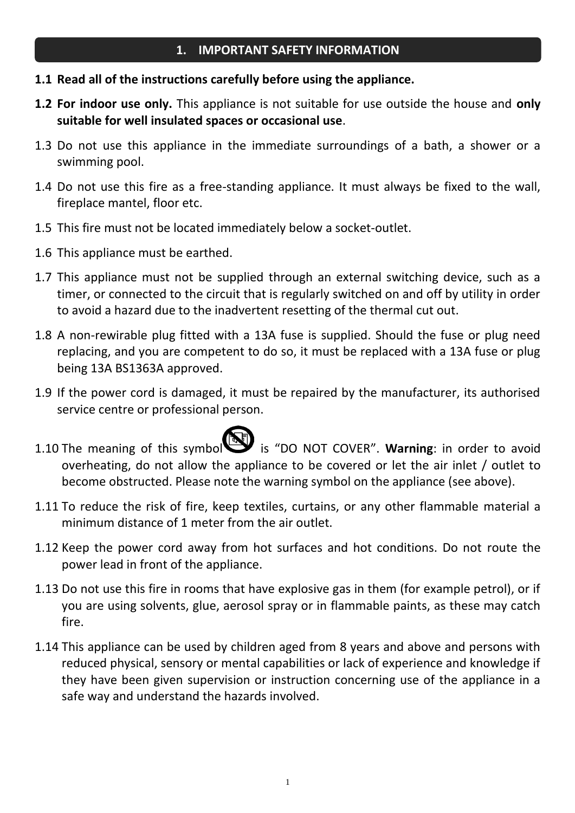- **1.1 Read all of the instructions carefully before using the appliance.**
- **1.2 For indoor use only.** This appliance is not suitable for use outside the house and **only suitable for well insulated spaces or occasional use**.
- 1.3 Do not use this appliance in the immediate surroundings of a bath, a shower or a swimming pool.
- 1.4 Do not use this fire as a free-standing appliance. It must always be fixed to the wall, fireplace mantel, floor etc.
- 1.5 This fire must not be located immediately below a socket-outlet.
- 1.6 This appliance must be earthed.
- 1.7 This appliance must not be supplied through an external switching device, such as a timer, or connected to the circuit that is regularly switched on and off by utility in order to avoid a hazard due to the inadvertent resetting of the thermal cut out.
- 1.8 A non-rewirable plug fitted with a 13A fuse is supplied. Should the fuse or plug need replacing, and you are competent to do so, it must be replaced with a 13A fuse or plug being 13A BS1363A approved.
- 1.9 If the power cord is damaged, it must be repaired by the manufacturer, its authorised service centre or professional person.

- 1.10 The meaning of this symbol is "DO NOT COVER". Warning: in order to avoid overheating, do not allow the appliance to be covered or let the air inlet / outlet to become obstructed. Please note the warning symbol on the appliance (see above).
- 1.11 To reduce the risk of fire, keep textiles, curtains, or any other flammable material a minimum distance of 1 meter from the air outlet.
- 1.12 Keep the power cord away from hot surfaces and hot conditions. Do not route the power lead in front of the appliance.
- 1.13 Do not use this fire in rooms that have explosive gas in them (for example petrol), or if you are using solvents, glue, aerosol spray or in flammable paints, as these may catch fire.
- 1.14 This appliance can be used by children aged from 8 years and above and persons with reduced physical, sensory or mental capabilities or lack of experience and knowledge if they have been given supervision or instruction concerning use of the appliance in a safe way and understand the hazards involved.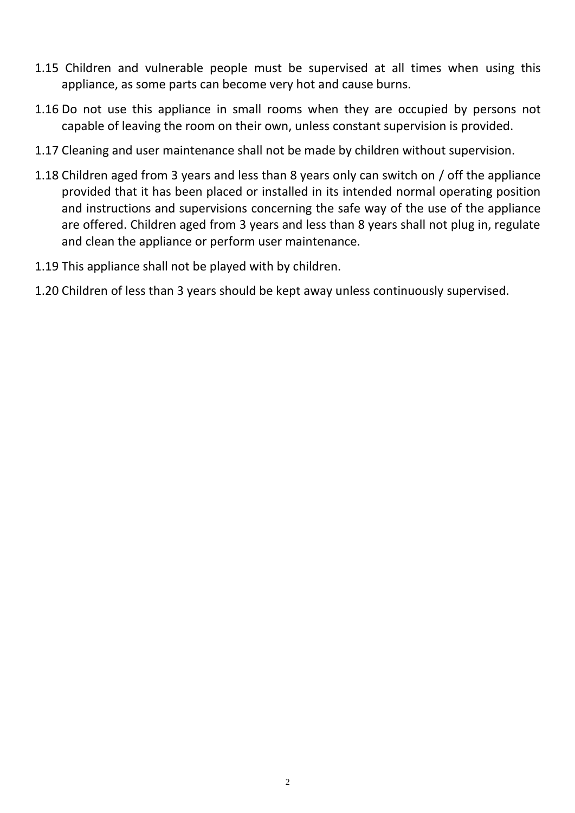- 1.15 Children and vulnerable people must be supervised at all times when using this appliance, as some parts can become very hot and cause burns.
- 1.16 Do not use this appliance in small rooms when they are occupied by persons not capable of leaving the room on their own, unless constant supervision is provided.
- 1.17 Cleaning and user maintenance shall not be made by children without supervision.
- 1.18 Children aged from 3 years and less than 8 years only can switch on / off the appliance provided that it has been placed or installed in its intended normal operating position and instructions and supervisions concerning the safe way of the use of the appliance are offered. Children aged from 3 years and less than 8 years shall not plug in, regulate and clean the appliance or perform user maintenance.
- 1.19 This appliance shall not be played with by children.
- 1.20 Children of less than 3 years should be kept away unless continuously supervised.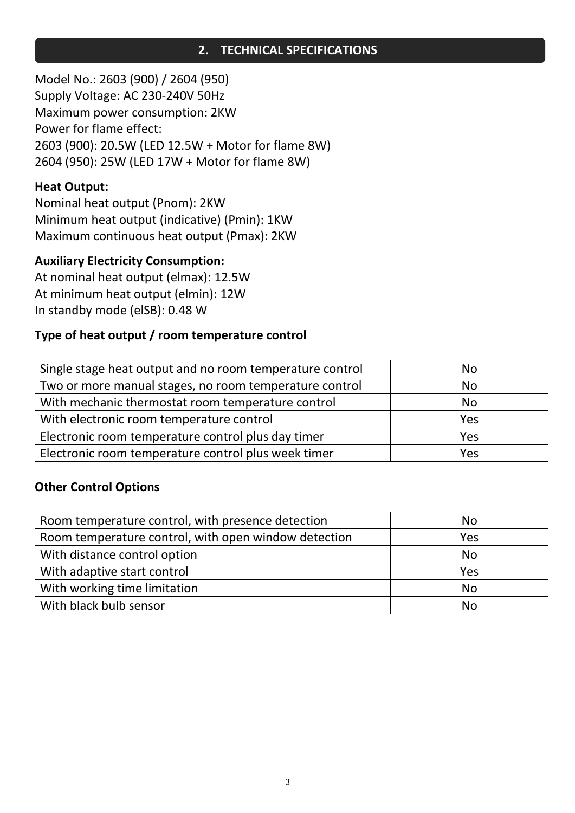# **2. TECHNICAL SPECIFICATIONS**

Model No.: 2603 (900) / 2604 (950) Supply Voltage: AC 230-240V 50Hz Maximum power consumption: 2KW Power for flame effect: 2603 (900): 20.5W (LED 12.5W + Motor for flame 8W) 2604 (950): 25W (LED 17W + Motor for flame 8W)

# **Heat Output:**

Nominal heat output (Pnom): 2KW Minimum heat output (indicative) (Pmin): 1KW Maximum continuous heat output (Pmax): 2KW

## **Auxiliary Electricity Consumption:**

At nominal heat output (elmax): 12.5W At minimum heat output (elmin): 12W In standby mode (elSB): 0.48 W

# **Type of heat output / room temperature control**

| Single stage heat output and no room temperature control | No  |
|----------------------------------------------------------|-----|
| Two or more manual stages, no room temperature control   | No  |
| With mechanic thermostat room temperature control        | No  |
| With electronic room temperature control                 | Yes |
| Electronic room temperature control plus day timer       | Yes |
| Electronic room temperature control plus week timer      | Yes |

## **Other Control Options**

| Room temperature control, with presence detection    | <b>No</b> |
|------------------------------------------------------|-----------|
| Room temperature control, with open window detection | Yes       |
| With distance control option                         | <b>No</b> |
| With adaptive start control                          | Yes       |
| With working time limitation                         | <b>No</b> |
| With black bulb sensor                               | No        |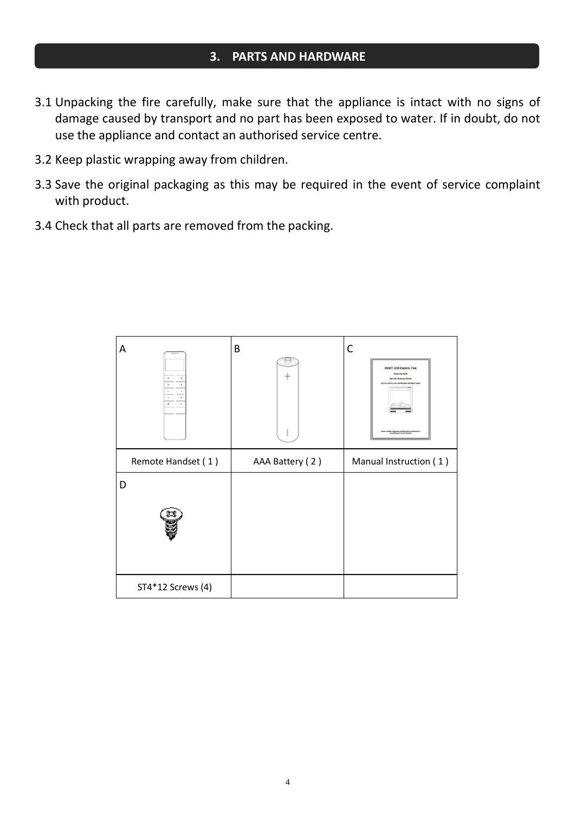#### **3. PARTS AND HARDWARE**

- 3.1 Unpacking the fire carefully, make sure that the appliance is intact with no signs of damage caused by transport and no part has been exposed to water. If in doubt, do not use the appliance and contact an authorised service centre.
- 3.2 Keep plastic wrapping away from children.
- 3.3 Save the original packaging as this may be required in the event of service complaint with product.
- 3.4 Check that all parts are removed from the packing.

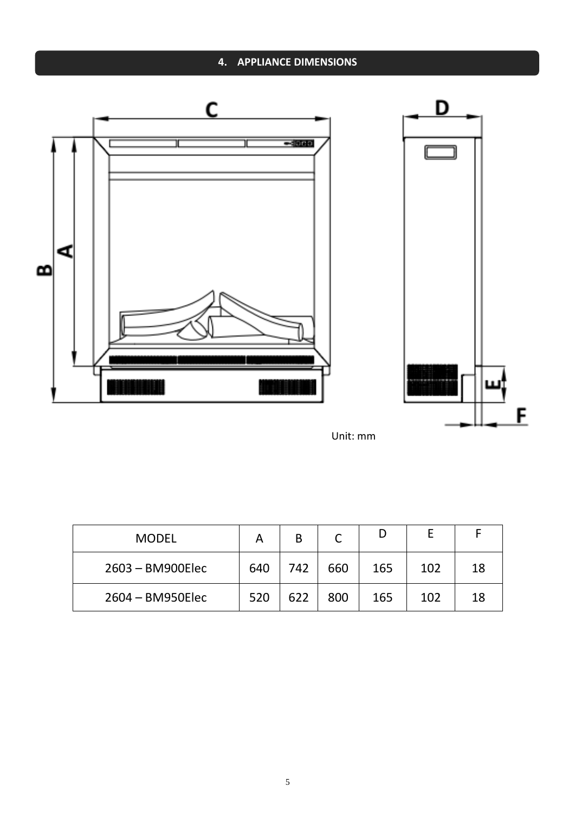# **4. APPLIANCE DIMENSIONS**



Unit: mm

| <b>MODEL</b>       |     | B   | ⌒<br>֊ |     |     |    |
|--------------------|-----|-----|--------|-----|-----|----|
| $2603 - BM900Elec$ | 640 | 742 | 660    | 165 | 102 | 18 |
| 2604 - BM950Elec   | 520 | 622 | 800    | 165 | 102 | 18 |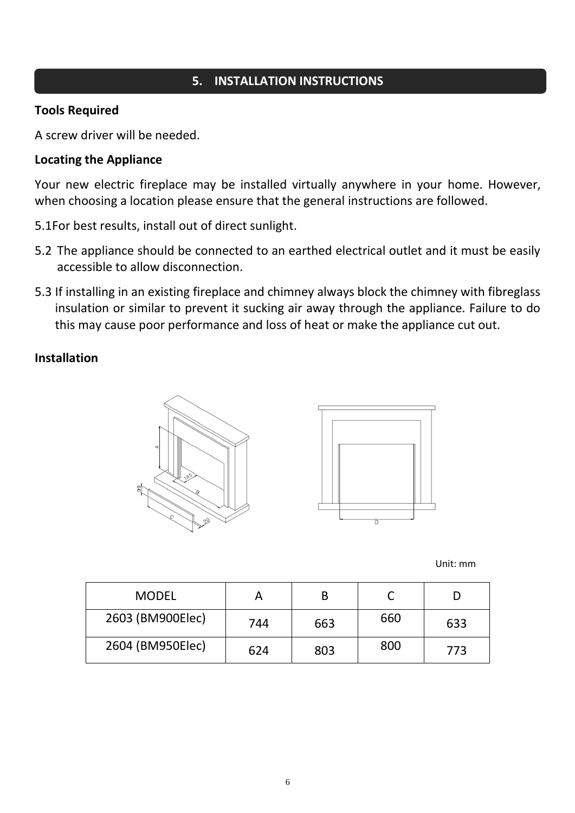# **5. INSTALLATION INSTRUCTIONS**

#### **Tools Required**

A screw driver will be needed.

#### **Locating the Appliance**

Your new electric fireplace may be installed virtually anywhere in your home. However, when choosing a location please ensure that the general instructions are followed.

5.1For best results, install out of direct sunlight.

- 5.2 The appliance should be connected to an earthed electrical outlet and it must be easily accessible to allow disconnection.
- 5.3 If installing in an existing fireplace and chimney always block the chimney with fibreglass insulation or similar to prevent it sucking air away through the appliance. Failure to do this may cause poor performance and loss of heat or make the appliance cut out.

#### **Installation**





Unit: mm

| <b>MODEL</b>     |     | В   |     |     |
|------------------|-----|-----|-----|-----|
| 2603 (BM900Elec) | 744 | 663 | 660 | 633 |
| 2604 (BM950Elec) | 624 | 803 | 800 | 773 |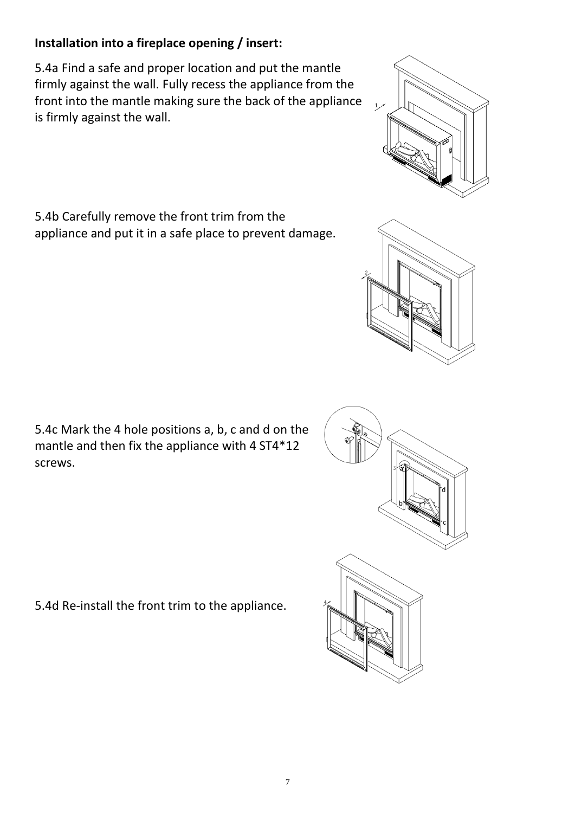7

# **Installation into a fireplace opening / insert:**

5.4a Find a safe and proper location and put the mantle firmly against the wall. Fully recess the appliance from the front into the mantle making sure the back of the appliance is firmly against the wall.

5.4b Carefully remove the front trim from the appliance and put it in a safe place to prevent damage.

5.4c Mark the 4 hole positions a, b, c and d on the mantle and then fix the appliance with 4 ST4\*12 screws.

5.4d Re-install the front trim to the appliance.



 $\overline{1}$ 

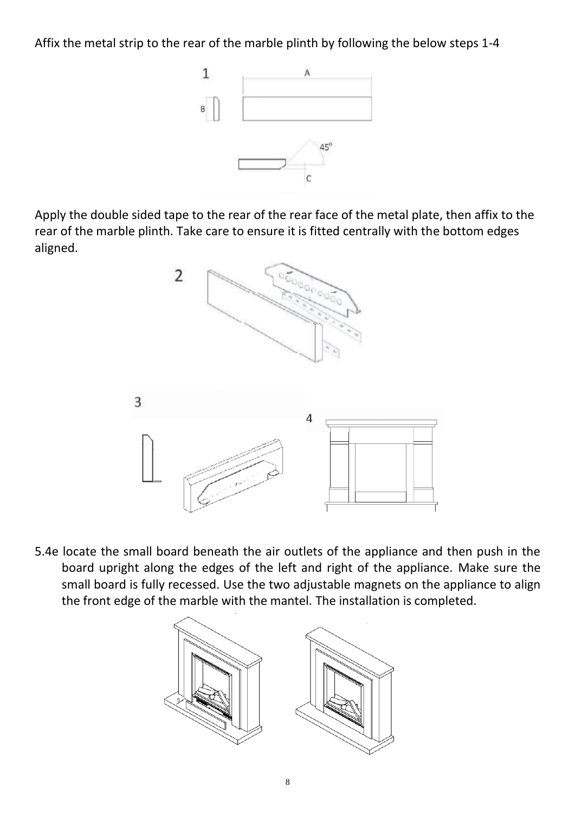Affix the metal strip to the rear of the marble plinth by following the below steps 1-4



Apply the double sided tape to the rear of the rear face of the metal plate, then affix to the rear of the marble plinth. Take care to ensure it is fitted centrally with the bottom edges aligned.



5.4e locate the small board beneath the air outlets of the appliance and then push in the board upright along the edges of the left and right of the appliance. Make sure the small board is fully recessed. Use the two adjustable magnets on the appliance to align the front edge of the marble with the mantel. The installation is completed.

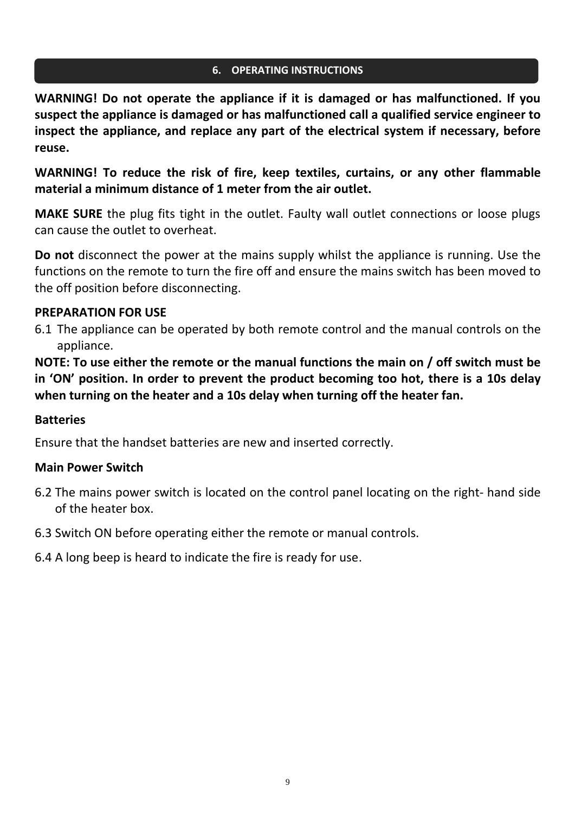#### **6. OPERATING INSTRUCTIONS**

**WARNING! Do not operate the appliance if it is damaged or has malfunctioned. If you suspect the appliance is damaged or has malfunctioned call a qualified service engineer to inspect the appliance, and replace any part of the electrical system if necessary, before reuse.**

**WARNING! To reduce the risk of fire, keep textiles, curtains, or any other flammable material a minimum distance of 1 meter from the air outlet.**

**MAKE SURE** the plug fits tight in the outlet. Faulty wall outlet connections or loose plugs can cause the outlet to overheat.

**Do not** disconnect the power at the mains supply whilst the appliance is running. Use the functions on the remote to turn the fire off and ensure the mains switch has been moved to the off position before disconnecting.

#### **PREPARATION FOR USE**

6.1 The appliance can be operated by both remote control and the manual controls on the appliance.

**NOTE: To use either the remote or the manual functions the main on / off switch must be in 'ON' position. In order to prevent the product becoming too hot, there is a 10s delay when turning on the heater and a 10s delay when turning off the heater fan.**

#### **Batteries**

Ensure that the handset batteries are new and inserted correctly.

## **Main Power Switch**

- 6.2 The mains power switch is located on the control panel locating on the right- hand side of the heater box.
- 6.3 Switch ON before operating either the remote or manual controls.
- 6.4 A long beep is heard to indicate the fire is ready for use.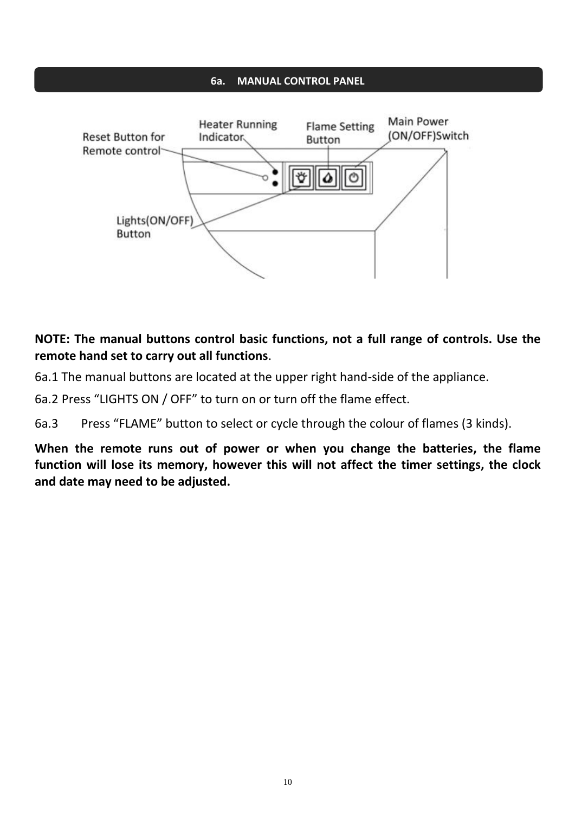#### **6a. MANUAL CONTROL PANEL**



# **NOTE: The manual buttons control basic functions, not a full range of controls. Use the remote hand set to carry out all functions**.

6a.1 The manual buttons are located at the upper right hand-side of the appliance.

6a.2 Press "LIGHTS ON / OFF" to turn on or turn off the flame effect.

6a.3 Press "FLAME" button to select or cycle through the colour of flames (3 kinds).

**When the remote runs out of power or when you change the batteries, the flame function will lose its memory, however this will not affect the timer settings, the clock and date may need to be adjusted.**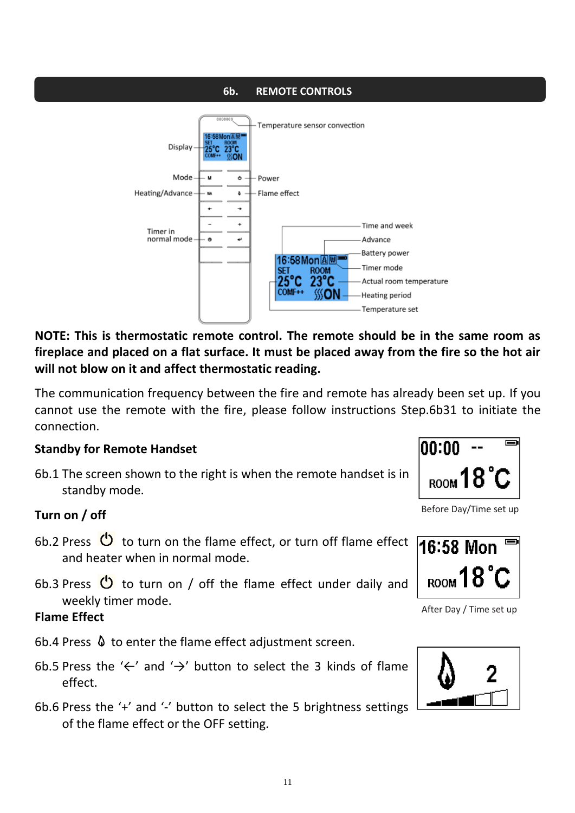#### **6b. REMOTE CONTROLS**



**NOTE: This is thermostatic remote control. The remote should be in the same room as fireplace and placed on a flat surface. It must be placed away from the fire so the hot air will not blow on it and affect thermostatic reading.**

The communication frequency between the fire and remote has already been set up. If you cannot use the remote with the fire, please follow instructions Step.6b31 to initiate the connection.

#### **Standby for Remote Handset**

6b.1 The screen shown to the right is when the remote handset is in standby mode.

## **Turn on / off**

- 6b.2 Press  $\bullet$  to turn on the flame effect, or turn off flame effect and heater when in normal mode.
- 6b.3 Press  $\bullet$  to turn on / off the flame effect under daily and weekly timer mode.

## **Flame Effect**

- 6b.4 Press  $\theta$  to enter the flame effect adjustment screen.
- 6b.5 Press the '←' and '→' button to select the 3 kinds of flame effect.
- 6b.6 Press the '+' and '-' button to select the 5 brightness settings of the flame effect or the OFF setting.



Before Day/Time set up



After Day / Time set up

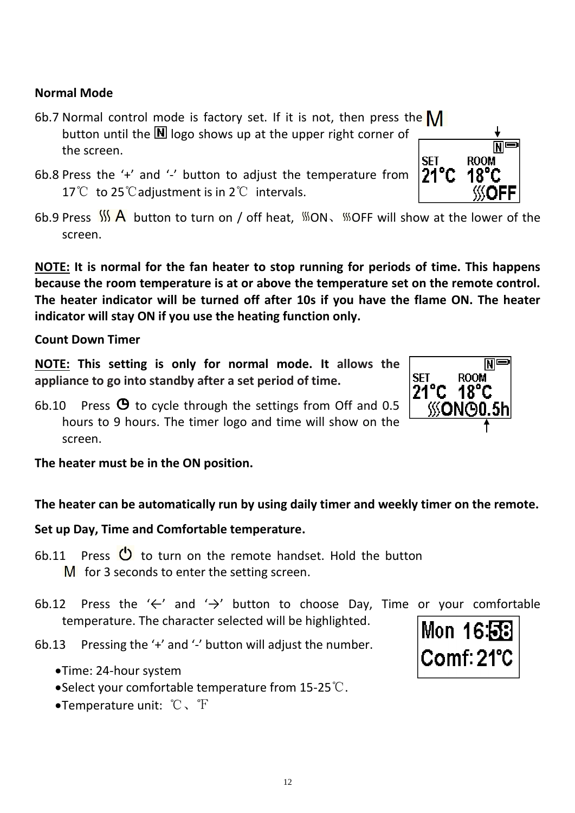# **Normal Mode**

- 6b.7 Normal control mode is factory set. If it is not, then press the  $\mathsf{M}$ button until the  $\blacksquare$  logo shows up at the upper right corner of the screen.
- 6b.8 Press the '+' and '-' button to adjust the temperature from 17℃ to 25°C adiustment is in 2°C intervals.
- 6b.9 Press  $\frac{1}{2}$  A button to turn on / off heat,  $\frac{1}{2}$  ON,  $\frac{1}{2}$  OFF will show at the lower of the screen.

**NOTE: It is normal for the fan heater to stop running for periods of time. This happens because the room temperature is at or above the temperature set on the remote control. The heater indicator will be turned off after 10s if you have the flame ON. The heater indicator will stay ON if you use the heating function only.**

#### **Count Down Timer**

**NOTE: This setting is only for normal mode. It allows the appliance to go into standby after a set period of time.**

6b.10 Press  $\Theta$  to cycle through the settings from Off and 0.5 hours to 9 hours. The timer logo and time will show on the screen.

**The heater must be in the ON position.**

## **The heater can be automatically run by using daily timer and weekly timer on the remote.**

## **Set up Day, Time and Comfortable temperature.**

- 6b.11 Press  $\bigcirc$  to turn on the remote handset. Hold the button  $M$  for 3 seconds to enter the setting screen.
- 6b.12 Press the ' $\leftarrow$ ' and ' $\rightarrow$ ' button to choose Day, Time or your comfortable temperature. The character selected will be highlighted.
- 6b.13 Pressing the '+' and '-' button will adjust the number.
	- •Time: 24-hour system
	- •Select your comfortable temperature from 15-25℃.
	- •Temperature unit: ℃、℉





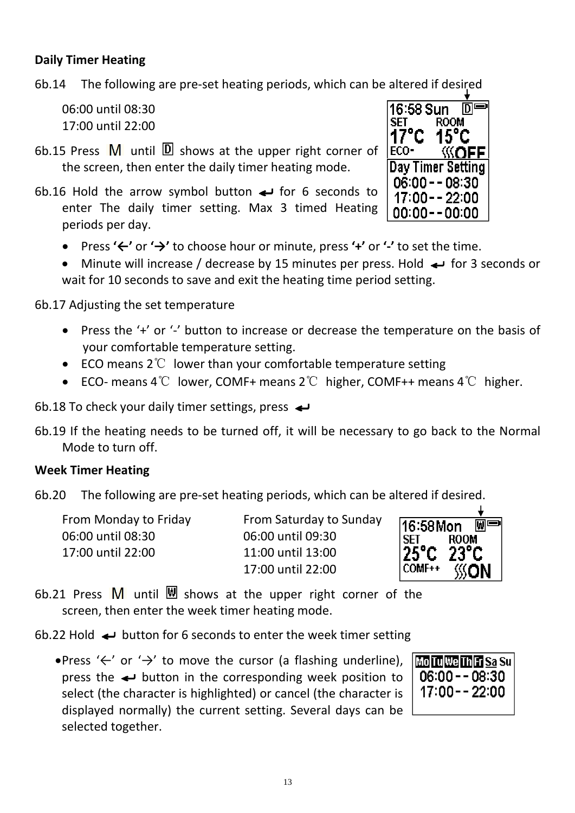## **Daily Timer Heating**

6b.14 The following are pre-set heating periods, which can be altered if desired

06:00 until 08:30 17:00 until 22:00

- 6b.15 Press  $\overline{M}$  until  $\overline{D}$  shows at the upper right corner of the screen, then enter the daily timer heating mode.
- 6b.16 Hold the arrow symbol button  $\leftrightarrow$  for 6 seconds to enter The daily timer setting. Max 3 timed Heating periods per day.
	- Press **'←'** or **'→'** to choose hour or minute, press **'+'** or **'-'** to set the time.
	- Minute will increase / decrease by 15 minutes per press. Hold  $\leftrightarrow$  for 3 seconds or wait for 10 seconds to save and exit the heating time period setting.

6b.17 Adjusting the set temperature

- Press the '+' or '-' button to increase or decrease the temperature on the basis of your comfortable temperature setting.
- ECO means 2℃ lower than your comfortable temperature setting
- ECO- means 4℃ lower, COMF+ means 2℃ higher, COMF++ means 4℃ higher.

6b.18 To check your daily timer settings, press  $\leftrightarrow$ 

6b.19 If the heating needs to be turned off, it will be necessary to go back to the Normal Mode to turn off.

## **Week Timer Heating**

6b.20 The following are pre-set heating periods, which can be altered if desired.

| <b>From Monday to Friday</b> |  |
|------------------------------|--|
| 06:00 until 08:30            |  |
| 17:00 until 22:00            |  |

From Saturday to Sunday 06:00 until 08:30 06:00 until 09:30 11:00 until 13:00 17:00 until 22:00



6b.21 Press  $\overline{M}$  until  $\overline{M}$  shows at the upper right corner of the screen, then enter the week timer heating mode.

6b.22 Hold  $\leftrightarrow$  button for 6 seconds to enter the week timer setting

•Press '←' or '→' to move the cursor (a flashing underline), press the  $\leftrightarrow$  button in the corresponding week position to select (the character is highlighted) or cancel (the character is displayed normally) the current setting. Several days can be selected together.



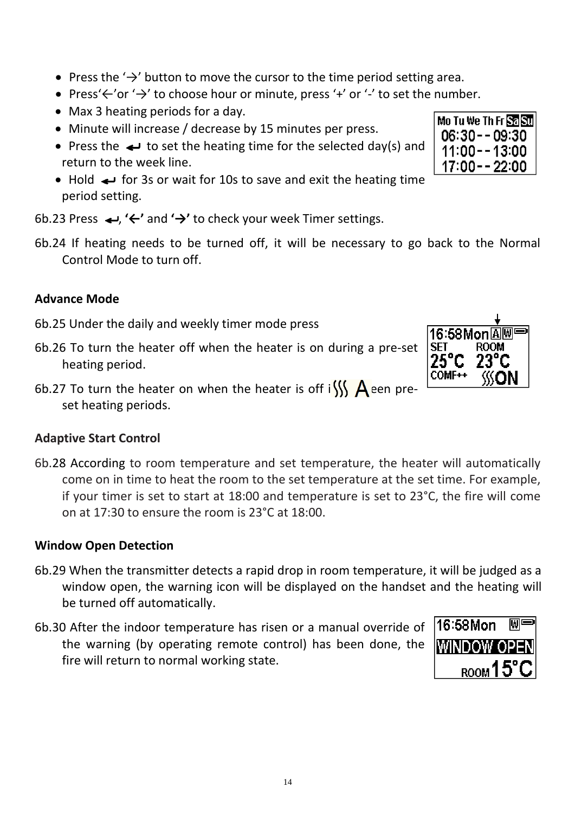- Press the  $\rightarrow$ ' button to move the cursor to the time period setting area.
- Press'←'or '→' to choose hour or minute, press '+' or '-' to set the number.
- Max 3 heating periods for a day.
- Minute will increase / decrease by 15 minutes per press.
- Press the  $\leftrightarrow$  to set the heating time for the selected day(s) and return to the week line.
- Hold  $\leftrightarrow$  for 3s or wait for 10s to save and exit the heating time period setting.

6b.23 Press  $\leftrightarrow$ , ' $\leftarrow$ ' and ' $\rightarrow$ ' to check your week Timer settings.

6b.24 If heating needs to be turned off, it will be necessary to go back to the Normal Control Mode to turn off.

# **Advance Mode**

- 6b.25 Under the daily and weekly timer mode press
- 6b.26 To turn the heater off when the heater is on during a pre-set heating period.
- 6b.27 To turn the heater on when the heater is off i $\frac{1}{1}$  A een preset heating periods.

## **Adaptive Start Control**

6b.28 According to room temperature and set temperature, the heater will automatically come on in time to heat the room to the set temperature at the set time. For example, if your timer is set to start at 18:00 and temperature is set to 23°C, the fire will come on at 17:30 to ensure the room is 23°C at 18:00.

#### **Window Open Detection**

- 6b.29 When the transmitter detects a rapid drop in room temperature, it will be judged as a window open, the warning icon will be displayed on the handset and the heating will be turned off automatically.
- 6b.30 After the indoor temperature has risen or a manual override of the warning (by operating remote control) has been done, the fire will return to normal working state.





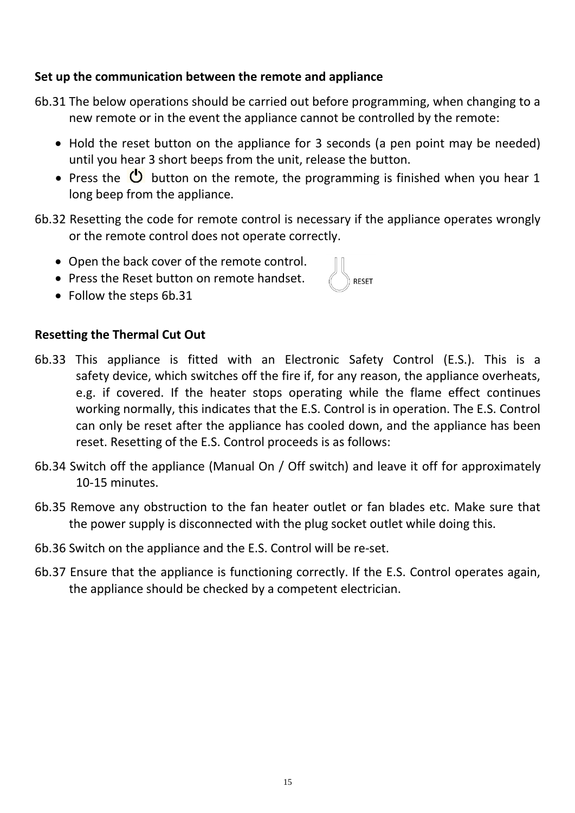## **Set up the communication between the remote and appliance**

- 6b.31 The below operations should be carried out before programming, when changing to a new remote or in the event the appliance cannot be controlled by the remote:
	- Hold the reset button on the appliance for 3 seconds (a pen point may be needed) until you hear 3 short beeps from the unit, release the button.
	- Press the  $\overline{\mathbf{C}}$  button on the remote, the programming is finished when you hear 1 long beep from the appliance.
- 6b.32 Resetting the code for remote control is necessary if the appliance operates wrongly or the remote control does not operate correctly.
	- Open the back cover of the remote control.
	- Press the Reset button on remote handset.
	- Follow the steps 6b.31

# **Resetting the Thermal Cut Out**

- 6b.33 This appliance is fitted with an Electronic Safety Control (E.S.). This is a safety device, which switches off the fire if, for any reason, the appliance overheats, e.g. if covered. If the heater stops operating while the flame effect continues working normally, this indicates that the E.S. Control is in operation. The E.S. Control can only be reset after the appliance has cooled down, and the appliance has been reset. Resetting of the E.S. Control proceeds is as follows:
- 6b.34 Switch off the appliance (Manual On / Off switch) and leave it off for approximately 10-15 minutes.
- 6b.35 Remove any obstruction to the fan heater outlet or fan blades etc. Make sure that the power supply is disconnected with the plug socket outlet while doing this.
- 6b.36 Switch on the appliance and the E.S. Control will be re-set.
- 6b.37 Ensure that the appliance is functioning correctly. If the E.S. Control operates again, the appliance should be checked by a competent electrician.

15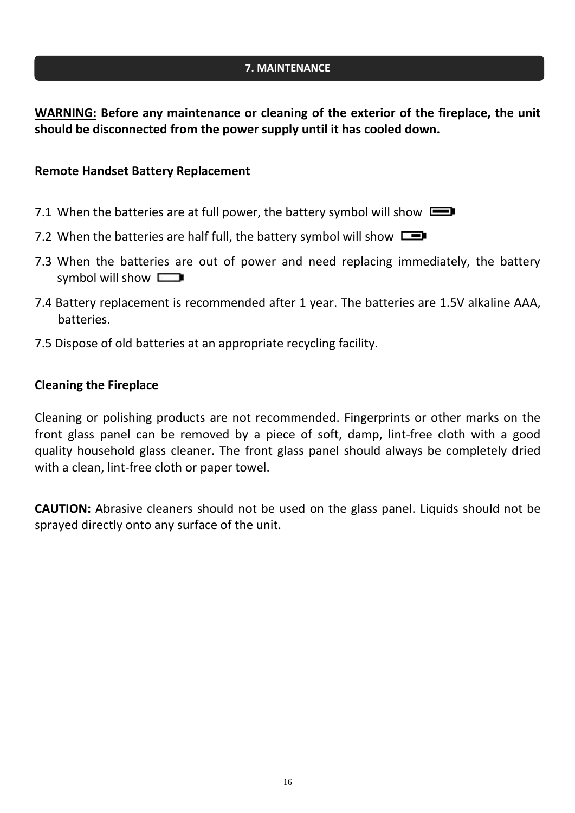#### **7. MAINTENANCE**

**WARNING: Before any maintenance or cleaning of the exterior of the fireplace, the unit should be disconnected from the power supply until it has cooled down.**

#### **Remote Handset Battery Replacement**

- 7.1 When the batteries are at full power, the battery symbol will show  $\Box$
- 7.2 When the batteries are half full, the battery symbol will show  $\square$
- 7.3 When the batteries are out of power and need replacing immediately, the battery symbol will show  $\Box$
- 7.4 Battery replacement is recommended after 1 year. The batteries are 1.5V alkaline AAA, batteries.
- 7.5 Dispose of old batteries at an appropriate recycling facility.

#### **Cleaning the Fireplace**

Cleaning or polishing products are not recommended. Fingerprints or other marks on the front glass panel can be removed by a piece of soft, damp, lint-free cloth with a good quality household glass cleaner. The front glass panel should always be completely dried with a clean, lint-free cloth or paper towel.

**CAUTION:** Abrasive cleaners should not be used on the glass panel. Liquids should not be sprayed directly onto any surface of the unit.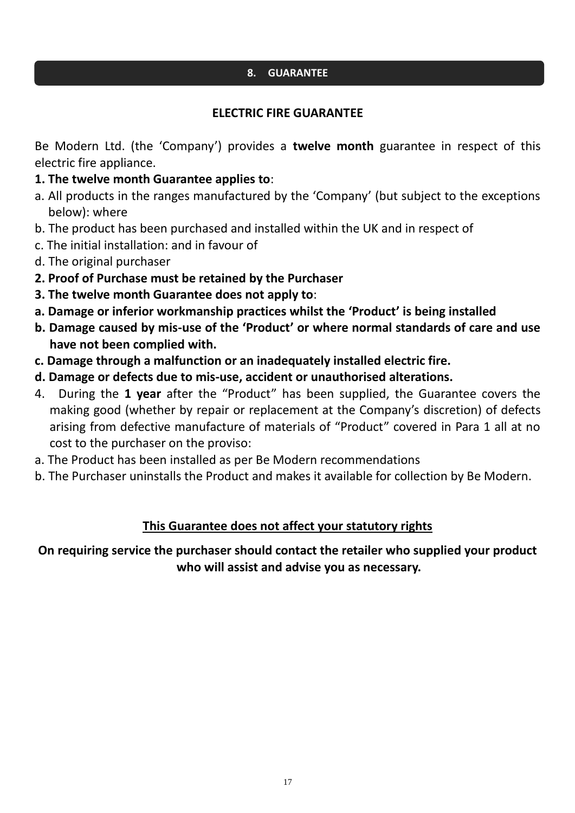#### **8. GUARANTEE**

## **ELECTRIC FIRE GUARANTEE**

Be Modern Ltd. (the 'Company') provides a **twelve month** guarantee in respect of this electric fire appliance.

- **1. The twelve month Guarantee applies to**:
- a. All products in the ranges manufactured by the 'Company' (but subject to the exceptions below): where
- b. The product has been purchased and installed within the UK and in respect of
- c. The initial installation: and in favour of
- d. The original purchaser
- **2. Proof of Purchase must be retained by the Purchaser**
- **3. The twelve month Guarantee does not apply to**:
- **a. Damage or inferior workmanship practices whilst the 'Product' is being installed**
- **b. Damage caused by mis-use of the 'Product' or where normal standards of care and use have not been complied with.**
- **c. Damage through a malfunction or an inadequately installed electric fire.**
- **d. Damage or defects due to mis-use, accident or unauthorised alterations.**
- 4. During the **1 year** after the "Product" has been supplied, the Guarantee covers the making good (whether by repair or replacement at the Company's discretion) of defects arising from defective manufacture of materials of "Product" covered in Para 1 all at no cost to the purchaser on the proviso:
- a. The Product has been installed as per Be Modern recommendations
- b. The Purchaser uninstalls the Product and makes it available for collection by Be Modern.

## **This Guarantee does not affect your statutory rights**

**On requiring service the purchaser should contact the retailer who supplied your product who will assist and advise you as necessary.**